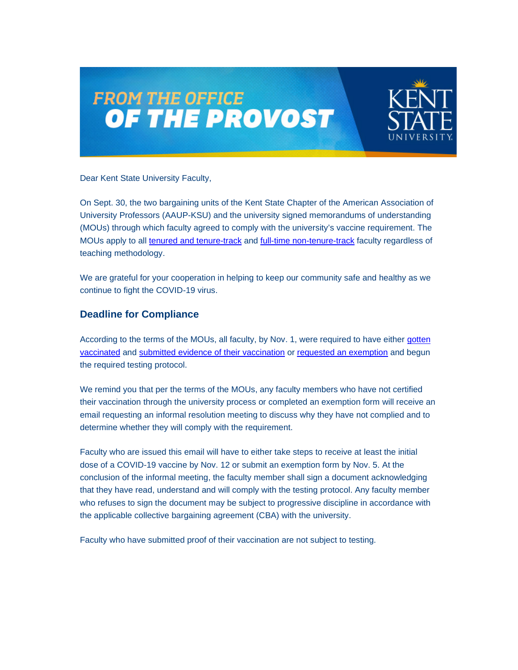



Dear Kent State University Faculty,

On Sept. 30, the two bargaining units of the Kent State Chapter of the American Association of University Professors (AAUP-KSU) and the university signed memorandums of understanding (MOUs) through which faculty agreed to comply with the university's vaccine requirement. The MOUs apply to all [tenured and tenure-track](https://nam11.safelinks.protection.outlook.com/?url=http%3A%2F%2Fclick.mailer.kent.edu%2F%3Fqs%3D17e71827e6c9b9d352cb3ece6e8f75cef71956ea48b1f1ee213b9eb9406b45d176a642375f83cc72a35ffaa8a54fbbe1b772fbfaf7e964c8&data=04%7C01%7Cdcsmith1%40kent.edu%7Cf1806ccc51ce4a7558db08d99fa8a346%7Ce5a06f4a1ec44d018f73e7dd15f26134%7C1%7C0%7C637716368907192876%7CUnknown%7CTWFpbGZsb3d8eyJWIjoiMC4wLjAwMDAiLCJQIjoiV2luMzIiLCJBTiI6Ik1haWwiLCJXVCI6Mn0%3D%7C1000&sdata=0KuU0Ej8CvqkD082B33HfKJr7aHMeqO6BcfxwNzVwl0%3D&reserved=0) and [full-time non-tenure-track](https://nam11.safelinks.protection.outlook.com/?url=http%3A%2F%2Fclick.mailer.kent.edu%2F%3Fqs%3D17e71827e6c9b9d356551fba5dfc6ab21c44d10d091b1ec20dc83302f2b01f8a5941bbe550f8e03346219c76f32f19d3154bc88543db67fb&data=04%7C01%7Cdcsmith1%40kent.edu%7Cf1806ccc51ce4a7558db08d99fa8a346%7Ce5a06f4a1ec44d018f73e7dd15f26134%7C1%7C0%7C637716368907192876%7CUnknown%7CTWFpbGZsb3d8eyJWIjoiMC4wLjAwMDAiLCJQIjoiV2luMzIiLCJBTiI6Ik1haWwiLCJXVCI6Mn0%3D%7C1000&sdata=ByaEokKCv6MKgtGz5HljEJqC378%2FJwq3Jix6DU9oj1E%3D&reserved=0) faculty regardless of teaching methodology.

We are grateful for your cooperation in helping to keep our community safe and healthy as we continue to fight the COVID-19 virus.

#### **Deadline for Compliance**

According to the terms of the MOUs, all faculty, by Nov. 1, were required to have either gotten [vaccinated](https://nam11.safelinks.protection.outlook.com/?url=http%3A%2F%2Fclick.mailer.kent.edu%2F%3Fqs%3D17e71827e6c9b9d33d1b5104a85302906bdf9a63ae6b0d38521eb29b581fa1341ed39961f08fb74f0ea26a3424a7b2d008f825fd71fdbe89&data=04%7C01%7Cdcsmith1%40kent.edu%7Cf1806ccc51ce4a7558db08d99fa8a346%7Ce5a06f4a1ec44d018f73e7dd15f26134%7C1%7C0%7C637716368907202830%7CUnknown%7CTWFpbGZsb3d8eyJWIjoiMC4wLjAwMDAiLCJQIjoiV2luMzIiLCJBTiI6Ik1haWwiLCJXVCI6Mn0%3D%7C1000&sdata=%2FwnM0P9JowlWyBHbu71z7BAtQBmviEbz6DBFzTyVGRg%3D&reserved=0) and [submitted evidence of their vaccination](https://nam11.safelinks.protection.outlook.com/?url=http%3A%2F%2Fclick.mailer.kent.edu%2F%3Fqs%3D17e71827e6c9b9d305bde3bfb2bd0fc22cbbb48ad2364d275b7ab2ea55cb05eccfba6380f4c168dda93515fb41d4be6ae192000e49e88e33&data=04%7C01%7Cdcsmith1%40kent.edu%7Cf1806ccc51ce4a7558db08d99fa8a346%7Ce5a06f4a1ec44d018f73e7dd15f26134%7C1%7C0%7C637716368907202830%7CUnknown%7CTWFpbGZsb3d8eyJWIjoiMC4wLjAwMDAiLCJQIjoiV2luMzIiLCJBTiI6Ik1haWwiLCJXVCI6Mn0%3D%7C1000&sdata=SP2DhqjI76cW8u0J8NEd0p4eQN8%2FuHkrvaoxBKXjK9M%3D&reserved=0) or [requested an exemption](https://nam11.safelinks.protection.outlook.com/?url=http%3A%2F%2Fclick.mailer.kent.edu%2F%3Fqs%3D17e71827e6c9b9d307df8a379f090c04d28ac5f483473746de1c98f20f01a1de3a7331a752abadc7ea9cf0de8013325a5a46e3eea740b351&data=04%7C01%7Cdcsmith1%40kent.edu%7Cf1806ccc51ce4a7558db08d99fa8a346%7Ce5a06f4a1ec44d018f73e7dd15f26134%7C1%7C0%7C637716368907212790%7CUnknown%7CTWFpbGZsb3d8eyJWIjoiMC4wLjAwMDAiLCJQIjoiV2luMzIiLCJBTiI6Ik1haWwiLCJXVCI6Mn0%3D%7C1000&sdata=HLk87MjnSjb5ujwZOR1i9Ehzuf0zO8Q5QgScjEKfbG8%3D&reserved=0) and begun the required testing protocol.

We remind you that per the terms of the MOUs, any faculty members who have not certified their vaccination through the university process or completed an exemption form will receive an email requesting an informal resolution meeting to discuss why they have not complied and to determine whether they will comply with the requirement.

Faculty who are issued this email will have to either take steps to receive at least the initial dose of a COVID-19 vaccine by Nov. 12 or submit an exemption form by Nov. 5. At the conclusion of the informal meeting, the faculty member shall sign a document acknowledging that they have read, understand and will comply with the testing protocol. Any faculty member who refuses to sign the document may be subject to progressive discipline in accordance with the applicable collective bargaining agreement (CBA) with the university.

Faculty who have submitted proof of their vaccination are not subject to testing.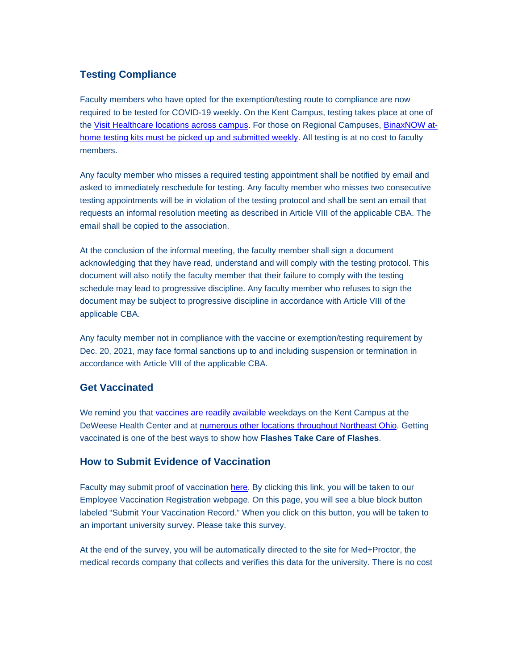# **Testing Compliance**

Faculty members who have opted for the exemption/testing route to compliance are now required to be tested for COVID-19 weekly. On the Kent Campus, testing takes place at one of the [Visit Healthcare locations across campus.](https://nam11.safelinks.protection.outlook.com/?url=http%3A%2F%2Fclick.mailer.kent.edu%2F%3Fqs%3D17e71827e6c9b9d39af59632cc6f050f4e886e6d2725a491663c7971b12bae5169bf7215b4b41447eb7f1537901d8c68ad3ca5406f6aaf24&data=04%7C01%7Cdcsmith1%40kent.edu%7Cf1806ccc51ce4a7558db08d99fa8a346%7Ce5a06f4a1ec44d018f73e7dd15f26134%7C1%7C0%7C637716368907212790%7CUnknown%7CTWFpbGZsb3d8eyJWIjoiMC4wLjAwMDAiLCJQIjoiV2luMzIiLCJBTiI6Ik1haWwiLCJXVCI6Mn0%3D%7C1000&sdata=Xywq50VcQB9FX9tqCD%2F3grBeEd38IQg%2BqVCkI4x3YtU%3D&reserved=0) For those on Regional Campuses, [BinaxNOW at](https://nam11.safelinks.protection.outlook.com/?url=http%3A%2F%2Fclick.mailer.kent.edu%2F%3Fqs%3D17e71827e6c9b9d3779ec27ea7c5fc91f106b747e60a893e36cb2df3a0a55c8a279596d0e93f45095059cbf8344296556f9a08c266d4398e&data=04%7C01%7Cdcsmith1%40kent.edu%7Cf1806ccc51ce4a7558db08d99fa8a346%7Ce5a06f4a1ec44d018f73e7dd15f26134%7C1%7C0%7C637716368907222740%7CUnknown%7CTWFpbGZsb3d8eyJWIjoiMC4wLjAwMDAiLCJQIjoiV2luMzIiLCJBTiI6Ik1haWwiLCJXVCI6Mn0%3D%7C1000&sdata=S6RehuIh7IAM6VJSNUIN%2BMsPc2wVeNbI%2FiRDWeIlAB4%3D&reserved=0)[home testing kits must be picked up and submitted weekly.](https://nam11.safelinks.protection.outlook.com/?url=http%3A%2F%2Fclick.mailer.kent.edu%2F%3Fqs%3D17e71827e6c9b9d3779ec27ea7c5fc91f106b747e60a893e36cb2df3a0a55c8a279596d0e93f45095059cbf8344296556f9a08c266d4398e&data=04%7C01%7Cdcsmith1%40kent.edu%7Cf1806ccc51ce4a7558db08d99fa8a346%7Ce5a06f4a1ec44d018f73e7dd15f26134%7C1%7C0%7C637716368907222740%7CUnknown%7CTWFpbGZsb3d8eyJWIjoiMC4wLjAwMDAiLCJQIjoiV2luMzIiLCJBTiI6Ik1haWwiLCJXVCI6Mn0%3D%7C1000&sdata=S6RehuIh7IAM6VJSNUIN%2BMsPc2wVeNbI%2FiRDWeIlAB4%3D&reserved=0) All testing is at no cost to faculty members.

Any faculty member who misses a required testing appointment shall be notified by email and asked to immediately reschedule for testing. Any faculty member who misses two consecutive testing appointments will be in violation of the testing protocol and shall be sent an email that requests an informal resolution meeting as described in Article VIII of the applicable CBA. The email shall be copied to the association.

At the conclusion of the informal meeting, the faculty member shall sign a document acknowledging that they have read, understand and will comply with the testing protocol. This document will also notify the faculty member that their failure to comply with the testing schedule may lead to progressive discipline. Any faculty member who refuses to sign the document may be subject to progressive discipline in accordance with Article VIII of the applicable CBA.

Any faculty member not in compliance with the vaccine or exemption/testing requirement by Dec. 20, 2021, may face formal sanctions up to and including suspension or termination in accordance with Article VIII of the applicable CBA.

# **Get Vaccinated**

We remind you that [vaccines are readily available](https://nam11.safelinks.protection.outlook.com/?url=http%3A%2F%2Fclick.mailer.kent.edu%2F%3Fqs%3D17e71827e6c9b9d33d1b5104a85302906bdf9a63ae6b0d38521eb29b581fa1341ed39961f08fb74f0ea26a3424a7b2d008f825fd71fdbe89&data=04%7C01%7Cdcsmith1%40kent.edu%7Cf1806ccc51ce4a7558db08d99fa8a346%7Ce5a06f4a1ec44d018f73e7dd15f26134%7C1%7C0%7C637716368907222740%7CUnknown%7CTWFpbGZsb3d8eyJWIjoiMC4wLjAwMDAiLCJQIjoiV2luMzIiLCJBTiI6Ik1haWwiLCJXVCI6Mn0%3D%7C1000&sdata=f6w7Z986QkFsNqCazrtydyGvbHM6vEmyT%2BE5cRxdDOA%3D&reserved=0) weekdays on the Kent Campus at the DeWeese Health Center and at [numerous other locations throughout Northeast Ohio.](https://nam11.safelinks.protection.outlook.com/?url=http%3A%2F%2Fclick.mailer.kent.edu%2F%3Fqs%3D17e71827e6c9b9d33ac2a8a83388e7f797da12f40f2a3cae2549c6c40961158b7b334a17d6a8b6c906af61158c81970653203ee689fc1b41&data=04%7C01%7Cdcsmith1%40kent.edu%7Cf1806ccc51ce4a7558db08d99fa8a346%7Ce5a06f4a1ec44d018f73e7dd15f26134%7C1%7C0%7C637716368907222740%7CUnknown%7CTWFpbGZsb3d8eyJWIjoiMC4wLjAwMDAiLCJQIjoiV2luMzIiLCJBTiI6Ik1haWwiLCJXVCI6Mn0%3D%7C1000&sdata=A2JO1GvdMw59DEUlAzAjSQnFC%2BtLcBCrlIeSmdHffTA%3D&reserved=0) Getting vaccinated is one of the best ways to show how **Flashes Take Care of Flashes**.

### **How to Submit Evidence of Vaccination**

Faculty may submit proof of vaccination [here.](https://nam11.safelinks.protection.outlook.com/?url=http%3A%2F%2Fclick.mailer.kent.edu%2F%3Fqs%3D0d93dcfe36b5c143aae302d43b4e4baf6e6a9b8f70e7917f83e2d73dfc45a15c8e2310e41714376018f97890b77947d89310e73e54a8ba22&data=04%7C01%7Cdcsmith1%40kent.edu%7Cf1806ccc51ce4a7558db08d99fa8a346%7Ce5a06f4a1ec44d018f73e7dd15f26134%7C1%7C0%7C637716368907232698%7CUnknown%7CTWFpbGZsb3d8eyJWIjoiMC4wLjAwMDAiLCJQIjoiV2luMzIiLCJBTiI6Ik1haWwiLCJXVCI6Mn0%3D%7C1000&sdata=PgxYSeLJq0btqsawn%2BEUQr0xkSLC5uFwj1zpvi4SqqU%3D&reserved=0) By clicking this link, you will be taken to our Employee Vaccination Registration webpage. On this page, you will see a blue block button labeled "Submit Your Vaccination Record." When you click on this button, you will be taken to an important university survey. Please take this survey.

At the end of the survey, you will be automatically directed to the site for Med+Proctor, the medical records company that collects and verifies this data for the university. There is no cost